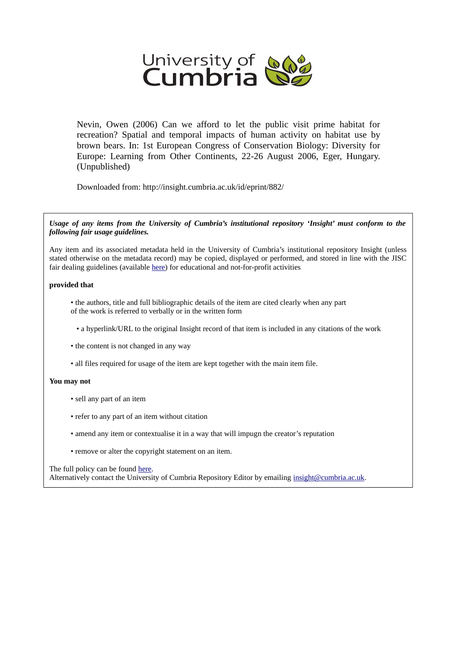

Nevin, Owen (2006) Can we afford to let the public visit prime habitat for recreation? Spatial and temporal impacts of human activity on habitat use by brown bears. In: 1st European Congress of Conservation Biology: Diversity for Europe: Learning from Other Continents, 22-26 August 2006, Eger, Hungary. (Unpublished)

Downloaded from: http://insight.cumbria.ac.uk/id/eprint/882/

*Usage of any items from the University of Cumbria's institutional repository 'Insight' must conform to the following fair usage guidelines.*

Any item and its associated metadata held in the University of Cumbria's institutional repository Insight (unless stated otherwise on the metadata record) may be copied, displayed or performed, and stored in line with the JISC fair dealing guidelines (available [here\)](http://www.ukoln.ac.uk/services/elib/papers/pa/fair/) for educational and not-for-profit activities

## **provided that**

- the authors, title and full bibliographic details of the item are cited clearly when any part of the work is referred to verbally or in the written form
	- a hyperlink/URL to the original Insight record of that item is included in any citations of the work
- the content is not changed in any way
- all files required for usage of the item are kept together with the main item file.

### **You may not**

- sell any part of an item
- refer to any part of an item without citation
- amend any item or contextualise it in a way that will impugn the creator's reputation
- remove or alter the copyright statement on an item.

The full policy can be found [here.](http://insight.cumbria.ac.uk/legal.html#section5)

Alternatively contact the University of Cumbria Repository Editor by emailing [insight@cumbria.ac.uk.](mailto:insight@cumbria.ac.uk)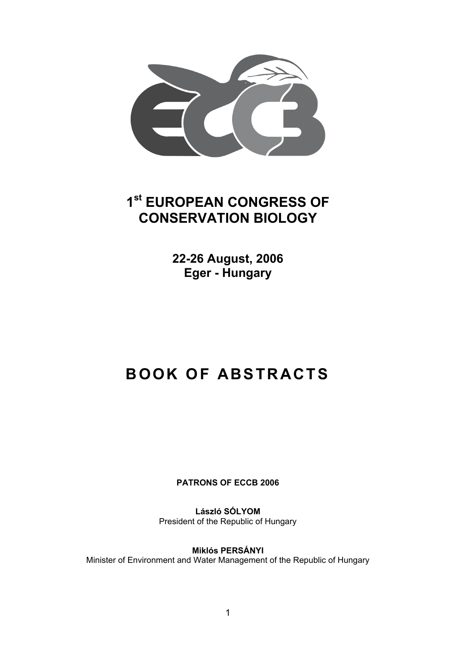

## **1st EUROPEAN CONGRESS OF CONSERVATION BIOLOGY**

**22-26 August, 2006 Eger - Hungary** 

# **BOOK OF ABSTRACTS**

**PATRONS OF ECCB 2006** 

**László SÓLYOM**  President of the Republic of Hungary

**Miklós PERSÁNYI**  Minister of Environment and Water Management of the Republic of Hungary